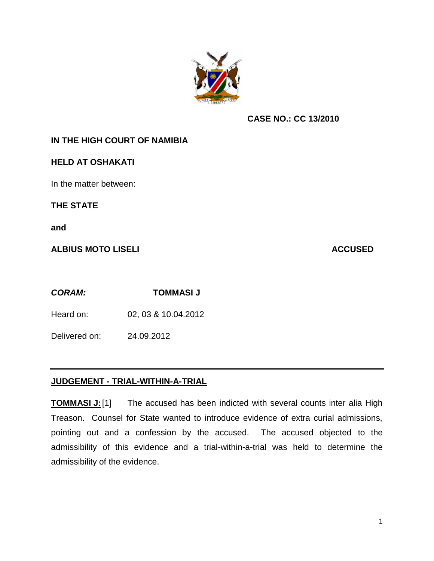

## **CASE NO.: CC 13/2010**

## **IN THE HIGH COURT OF NAMIBIA**

## **HELD AT OSHAKATI**

In the matter between:

**THE STATE**

**and**

**ALBIUS MOTO LISELI ACCUSED**

*CORAM:* **TOMMASI J** 

Heard on: 02, 03 & 10.04.2012

Delivered on: 24.09.2012

## **JUDGEMENT - TRIAL-WITHIN-A-TRIAL**

**TOMMASI J:**[1] The accused has been indicted with several counts inter alia High Treason. Counsel for State wanted to introduce evidence of extra curial admissions, pointing out and a confession by the accused. The accused objected to the admissibility of this evidence and a trial-within-a-trial was held to determine the admissibility of the evidence.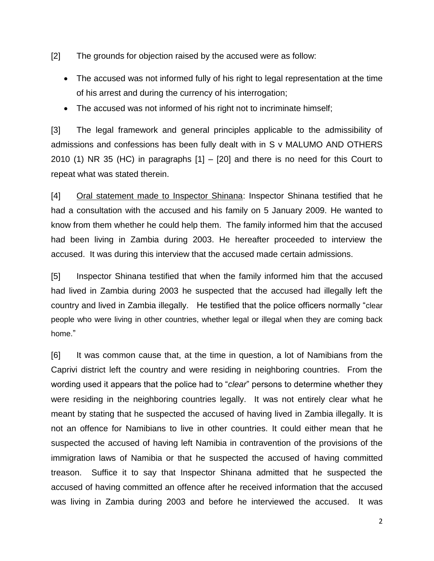[2] The grounds for objection raised by the accused were as follow:

- The accused was not informed fully of his right to legal representation at the time of his arrest and during the currency of his interrogation;
- The accused was not informed of his right not to incriminate himself;

[3] The legal framework and general principles applicable to the admissibility of admissions and confessions has been fully dealt with in S v MALUMO AND OTHERS 2010 (1) NR 35 (HC) in paragraphs [1] – [20] and there is no need for this Court to repeat what was stated therein.

[4] Oral statement made to Inspector Shinana: Inspector Shinana testified that he had a consultation with the accused and his family on 5 January 2009. He wanted to know from them whether he could help them. The family informed him that the accused had been living in Zambia during 2003. He hereafter proceeded to interview the accused. It was during this interview that the accused made certain admissions.

[5] Inspector Shinana testified that when the family informed him that the accused had lived in Zambia during 2003 he suspected that the accused had illegally left the country and lived in Zambia illegally. He testified that the police officers normally "clear people who were living in other countries, whether legal or illegal when they are coming back home."

[6] It was common cause that, at the time in question, a lot of Namibians from the Caprivi district left the country and were residing in neighboring countries. From the wording used it appears that the police had to "*clear*" persons to determine whether they were residing in the neighboring countries legally. It was not entirely clear what he meant by stating that he suspected the accused of having lived in Zambia illegally. It is not an offence for Namibians to live in other countries. It could either mean that he suspected the accused of having left Namibia in contravention of the provisions of the immigration laws of Namibia or that he suspected the accused of having committed treason. Suffice it to say that Inspector Shinana admitted that he suspected the accused of having committed an offence after he received information that the accused was living in Zambia during 2003 and before he interviewed the accused. It was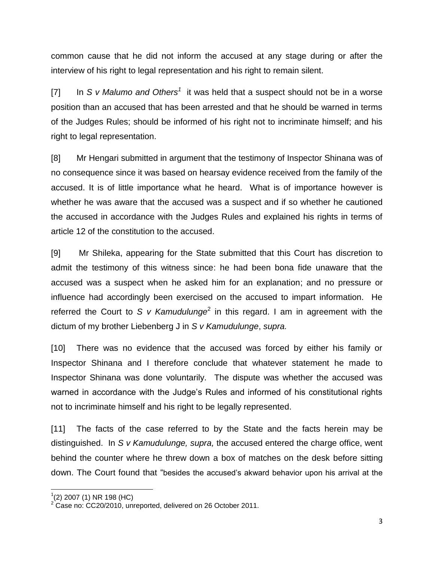common cause that he did not inform the accused at any stage during or after the interview of his right to legal representation and his right to remain silent.

[7] In *S v Malumo and Others<sup>1</sup>* it was held that a suspect should not be in a worse position than an accused that has been arrested and that he should be warned in terms of the Judges Rules; should be informed of his right not to incriminate himself; and his right to legal representation.

[8] Mr Hengari submitted in argument that the testimony of Inspector Shinana was of no consequence since it was based on hearsay evidence received from the family of the accused. It is of little importance what he heard. What is of importance however is whether he was aware that the accused was a suspect and if so whether he cautioned the accused in accordance with the Judges Rules and explained his rights in terms of article 12 of the constitution to the accused.

[9] Mr Shileka, appearing for the State submitted that this Court has discretion to admit the testimony of this witness since: he had been bona fide unaware that the accused was a suspect when he asked him for an explanation; and no pressure or influence had accordingly been exercised on the accused to impart information. He referred the Court to S v Kamudulunge<sup>2</sup> in this regard. I am in agreement with the dictum of my brother Liebenberg J in *S v Kamudulunge*, *supra.*

[10] There was no evidence that the accused was forced by either his family or Inspector Shinana and I therefore conclude that whatever statement he made to Inspector Shinana was done voluntarily. The dispute was whether the accused was warned in accordance with the Judge's Rules and informed of his constitutional rights not to incriminate himself and his right to be legally represented.

[11] The facts of the case referred to by the State and the facts herein may be distinguished. In *S v Kamudulunge, supra,* the accused entered the charge office, went behind the counter where he threw down a box of matches on the desk before sitting down. The Court found that "besides the accused's akward behavior upon his arrival at the

 1 (2) 2007 (1) NR 198 (HC)

 $2$  Case no: CC20/2010, unreported, delivered on 26 October 2011.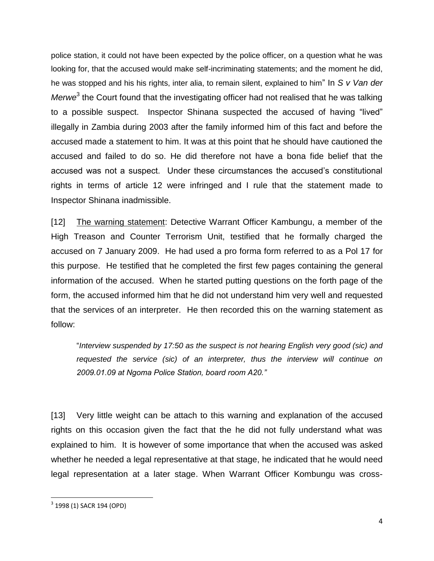police station, it could not have been expected by the police officer, on a question what he was looking for, that the accused would make self-incriminating statements; and the moment he did, he was stopped and his his rights, inter alia, to remain silent, explained to him" In *S v Van der*  Merwe<sup>3</sup> the Court found that the investigating officer had not realised that he was talking to a possible suspect. Inspector Shinana suspected the accused of having "lived" illegally in Zambia during 2003 after the family informed him of this fact and before the accused made a statement to him. It was at this point that he should have cautioned the accused and failed to do so. He did therefore not have a bona fide belief that the accused was not a suspect. Under these circumstances the accused's constitutional rights in terms of article 12 were infringed and I rule that the statement made to Inspector Shinana inadmissible.

[12] The warning statement: Detective Warrant Officer Kambungu, a member of the High Treason and Counter Terrorism Unit, testified that he formally charged the accused on 7 January 2009. He had used a pro forma form referred to as a Pol 17 for this purpose. He testified that he completed the first few pages containing the general information of the accused. When he started putting questions on the forth page of the form, the accused informed him that he did not understand him very well and requested that the services of an interpreter. He then recorded this on the warning statement as follow:

"*Interview suspended by 17:50 as the suspect is not hearing English very good (sic) and requested the service (sic) of an interpreter, thus the interview will continue on 2009.01.09 at Ngoma Police Station, board room A20."*

[13] Very little weight can be attach to this warning and explanation of the accused rights on this occasion given the fact that the he did not fully understand what was explained to him. It is however of some importance that when the accused was asked whether he needed a legal representative at that stage, he indicated that he would need legal representation at a later stage. When Warrant Officer Kombungu was cross-

 $\overline{\phantom{a}}$ 

<sup>&</sup>lt;sup>3</sup> 1998 (1) SACR 194 (OPD)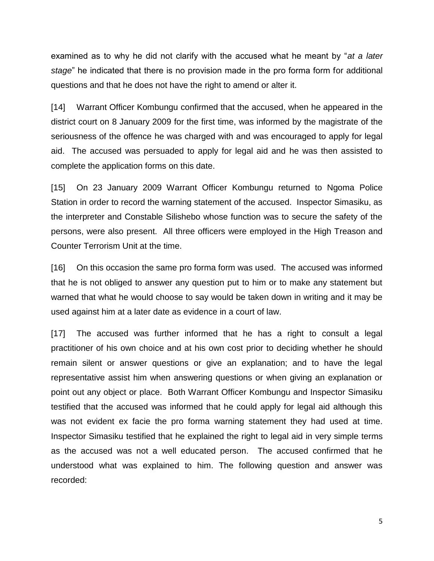examined as to why he did not clarify with the accused what he meant by "*at a later stage*" he indicated that there is no provision made in the pro forma form for additional questions and that he does not have the right to amend or alter it.

[14] Warrant Officer Kombungu confirmed that the accused, when he appeared in the district court on 8 January 2009 for the first time, was informed by the magistrate of the seriousness of the offence he was charged with and was encouraged to apply for legal aid. The accused was persuaded to apply for legal aid and he was then assisted to complete the application forms on this date.

[15] On 23 January 2009 Warrant Officer Kombungu returned to Ngoma Police Station in order to record the warning statement of the accused. Inspector Simasiku, as the interpreter and Constable Silishebo whose function was to secure the safety of the persons, were also present. All three officers were employed in the High Treason and Counter Terrorism Unit at the time.

[16] On this occasion the same pro forma form was used. The accused was informed that he is not obliged to answer any question put to him or to make any statement but warned that what he would choose to say would be taken down in writing and it may be used against him at a later date as evidence in a court of law.

[17] The accused was further informed that he has a right to consult a legal practitioner of his own choice and at his own cost prior to deciding whether he should remain silent or answer questions or give an explanation; and to have the legal representative assist him when answering questions or when giving an explanation or point out any object or place. Both Warrant Officer Kombungu and Inspector Simasiku testified that the accused was informed that he could apply for legal aid although this was not evident ex facie the pro forma warning statement they had used at time. Inspector Simasiku testified that he explained the right to legal aid in very simple terms as the accused was not a well educated person. The accused confirmed that he understood what was explained to him. The following question and answer was recorded: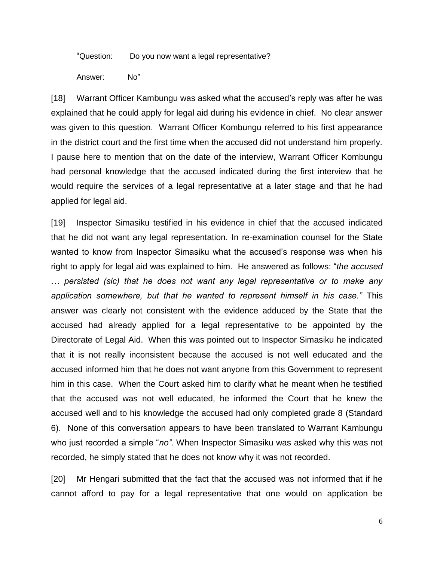"Question: Do you now want a legal representative?

Answer: No"

[18] Warrant Officer Kambungu was asked what the accused's reply was after he was explained that he could apply for legal aid during his evidence in chief. No clear answer was given to this question. Warrant Officer Kombungu referred to his first appearance in the district court and the first time when the accused did not understand him properly. I pause here to mention that on the date of the interview, Warrant Officer Kombungu had personal knowledge that the accused indicated during the first interview that he would require the services of a legal representative at a later stage and that he had applied for legal aid.

[19] Inspector Simasiku testified in his evidence in chief that the accused indicated that he did not want any legal representation. In re-examination counsel for the State wanted to know from Inspector Simasiku what the accused's response was when his right to apply for legal aid was explained to him. He answered as follows: "*the accused … persisted (sic) that he does not want any legal representative or to make any application somewhere, but that he wanted to represent himself in his case."* This answer was clearly not consistent with the evidence adduced by the State that the accused had already applied for a legal representative to be appointed by the Directorate of Legal Aid. When this was pointed out to Inspector Simasiku he indicated that it is not really inconsistent because the accused is not well educated and the accused informed him that he does not want anyone from this Government to represent him in this case. When the Court asked him to clarify what he meant when he testified that the accused was not well educated, he informed the Court that he knew the accused well and to his knowledge the accused had only completed grade 8 (Standard 6). None of this conversation appears to have been translated to Warrant Kambungu who just recorded a simple "*no".* When Inspector Simasiku was asked why this was not recorded, he simply stated that he does not know why it was not recorded.

[20] Mr Hengari submitted that the fact that the accused was not informed that if he cannot afford to pay for a legal representative that one would on application be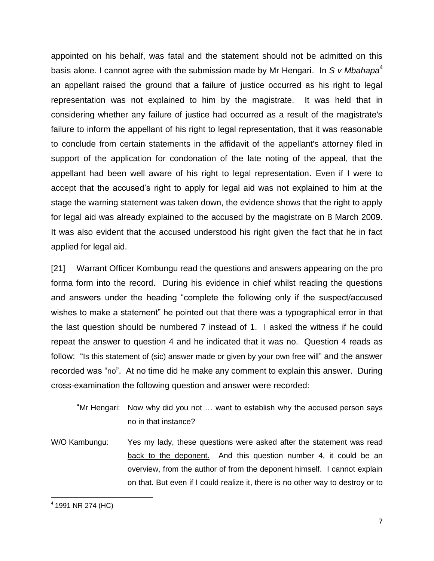appointed on his behalf, was fatal and the statement should not be admitted on this basis alone. I cannot agree with the submission made by Mr Hengari. In *S v Mbahapa*<sup>4</sup> an appellant raised the ground that a failure of justice occurred as his right to legal representation was not explained to him by the magistrate. It was held that in considering whether any failure of justice had occurred as a result of the magistrate's failure to inform the appellant of his right to legal representation, that it was reasonable to conclude from certain statements in the affidavit of the appellant's attorney filed in support of the application for condonation of the late noting of the appeal, that the appellant had been well aware of his right to legal representation. Even if I were to accept that the accused's right to apply for legal aid was not explained to him at the stage the warning statement was taken down, the evidence shows that the right to apply for legal aid was already explained to the accused by the magistrate on 8 March 2009. It was also evident that the accused understood his right given the fact that he in fact applied for legal aid.

[21] Warrant Officer Kombungu read the questions and answers appearing on the pro forma form into the record. During his evidence in chief whilst reading the questions and answers under the heading "complete the following only if the suspect/accused wishes to make a statement" he pointed out that there was a typographical error in that the last question should be numbered 7 instead of 1. I asked the witness if he could repeat the answer to question 4 and he indicated that it was no. Question 4 reads as follow: "Is this statement of (sic) answer made or given by your own free will" and the answer recorded was "no". At no time did he make any comment to explain this answer. During cross-examination the following question and answer were recorded:

- "Mr Hengari: Now why did you not … want to establish why the accused person says no in that instance?
- W/O Kambungu: Yes my lady, these questions were asked after the statement was read back to the deponent. And this question number 4, it could be an overview, from the author of from the deponent himself. I cannot explain on that. But even if I could realize it, there is no other way to destroy or to

 $\overline{\phantom{a}}$ 

<sup>4</sup> 1991 NR 274 (HC)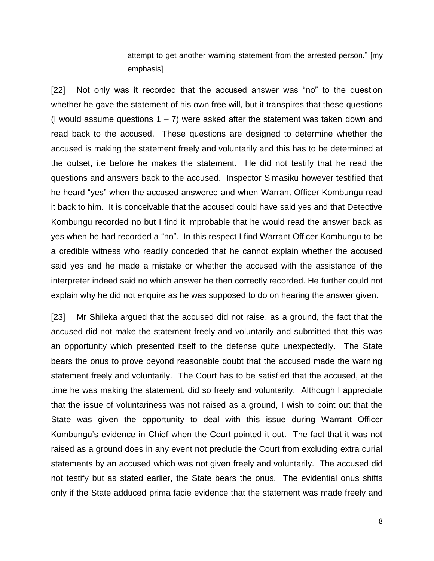attempt to get another warning statement from the arrested person." [my emphasis]

[22] Not only was it recorded that the accused answer was "no" to the question whether he gave the statement of his own free will, but it transpires that these questions (I would assume questions  $1 - 7$ ) were asked after the statement was taken down and read back to the accused. These questions are designed to determine whether the accused is making the statement freely and voluntarily and this has to be determined at the outset, i.e before he makes the statement. He did not testify that he read the questions and answers back to the accused. Inspector Simasiku however testified that he heard "yes" when the accused answered and when Warrant Officer Kombungu read it back to him. It is conceivable that the accused could have said yes and that Detective Kombungu recorded no but I find it improbable that he would read the answer back as yes when he had recorded a "no". In this respect I find Warrant Officer Kombungu to be a credible witness who readily conceded that he cannot explain whether the accused said yes and he made a mistake or whether the accused with the assistance of the interpreter indeed said no which answer he then correctly recorded. He further could not explain why he did not enquire as he was supposed to do on hearing the answer given.

[23] Mr Shileka argued that the accused did not raise, as a ground, the fact that the accused did not make the statement freely and voluntarily and submitted that this was an opportunity which presented itself to the defense quite unexpectedly. The State bears the onus to prove beyond reasonable doubt that the accused made the warning statement freely and voluntarily. The Court has to be satisfied that the accused, at the time he was making the statement, did so freely and voluntarily. Although I appreciate that the issue of voluntariness was not raised as a ground, I wish to point out that the State was given the opportunity to deal with this issue during Warrant Officer Kombungu's evidence in Chief when the Court pointed it out. The fact that it was not raised as a ground does in any event not preclude the Court from excluding extra curial statements by an accused which was not given freely and voluntarily. The accused did not testify but as stated earlier, the State bears the onus. The evidential onus shifts only if the State adduced prima facie evidence that the statement was made freely and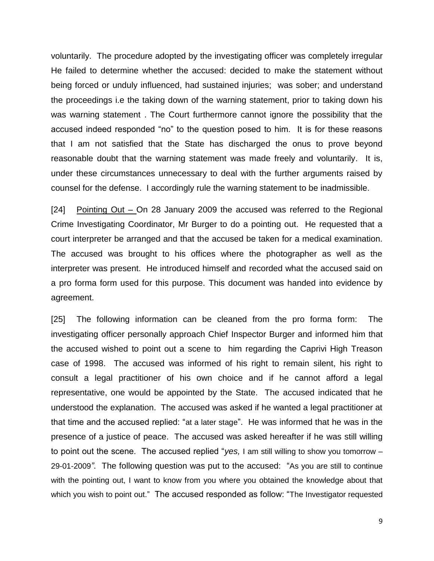voluntarily. The procedure adopted by the investigating officer was completely irregular He failed to determine whether the accused: decided to make the statement without being forced or unduly influenced, had sustained injuries; was sober; and understand the proceedings i.e the taking down of the warning statement, prior to taking down his was warning statement . The Court furthermore cannot ignore the possibility that the accused indeed responded "no" to the question posed to him. It is for these reasons that I am not satisfied that the State has discharged the onus to prove beyond reasonable doubt that the warning statement was made freely and voluntarily. It is, under these circumstances unnecessary to deal with the further arguments raised by counsel for the defense. I accordingly rule the warning statement to be inadmissible.

[24] Pointing Out – On 28 January 2009 the accused was referred to the Regional Crime Investigating Coordinator, Mr Burger to do a pointing out. He requested that a court interpreter be arranged and that the accused be taken for a medical examination. The accused was brought to his offices where the photographer as well as the interpreter was present. He introduced himself and recorded what the accused said on a pro forma form used for this purpose. This document was handed into evidence by agreement.

[25] The following information can be cleaned from the pro forma form: The investigating officer personally approach Chief Inspector Burger and informed him that the accused wished to point out a scene to him regarding the Caprivi High Treason case of 1998. The accused was informed of his right to remain silent, his right to consult a legal practitioner of his own choice and if he cannot afford a legal representative, one would be appointed by the State. The accused indicated that he understood the explanation. The accused was asked if he wanted a legal practitioner at that time and the accused replied: "at a later stage". He was informed that he was in the presence of a justice of peace. The accused was asked hereafter if he was still willing to point out the scene. The accused replied "*yes,* I am still willing to show you tomorrow – 29-01-2009*"*. The following question was put to the accused: "As you are still to continue with the pointing out, I want to know from you where you obtained the knowledge about that which you wish to point out."The accused responded as follow: "The Investigator requested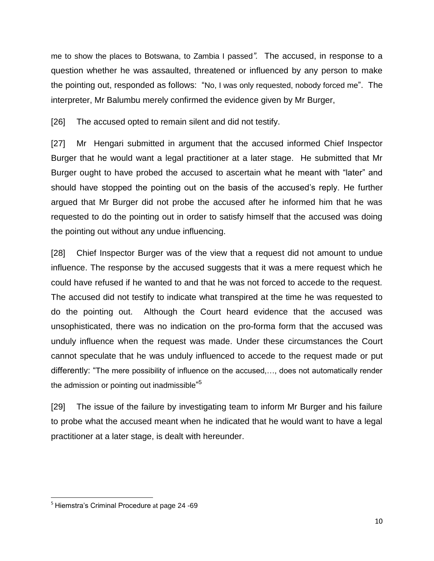me to show the places to Botswana, to Zambia I passed*".* The accused, in response to a question whether he was assaulted, threatened or influenced by any person to make the pointing out, responded as follows: "No, I was only requested, nobody forced me". The interpreter, Mr Balumbu merely confirmed the evidence given by Mr Burger,

[26] The accused opted to remain silent and did not testify.

[27] Mr Hengari submitted in argument that the accused informed Chief Inspector Burger that he would want a legal practitioner at a later stage. He submitted that Mr Burger ought to have probed the accused to ascertain what he meant with "later" and should have stopped the pointing out on the basis of the accused's reply. He further argued that Mr Burger did not probe the accused after he informed him that he was requested to do the pointing out in order to satisfy himself that the accused was doing the pointing out without any undue influencing.

[28] Chief Inspector Burger was of the view that a request did not amount to undue influence. The response by the accused suggests that it was a mere request which he could have refused if he wanted to and that he was not forced to accede to the request. The accused did not testify to indicate what transpired at the time he was requested to do the pointing out. Although the Court heard evidence that the accused was unsophisticated, there was no indication on the pro-forma form that the accused was unduly influence when the request was made. Under these circumstances the Court cannot speculate that he was unduly influenced to accede to the request made or put differently: "The mere possibility of influence on the accused,…, does not automatically render the admission or pointing out inadmissible"<sup>5</sup>

[29] The issue of the failure by investigating team to inform Mr Burger and his failure to probe what the accused meant when he indicated that he would want to have a legal practitioner at a later stage, is dealt with hereunder.

 $\overline{\phantom{a}}$ 

<sup>&</sup>lt;sup>5</sup> Hiemstra's Criminal Procedure at page 24 -69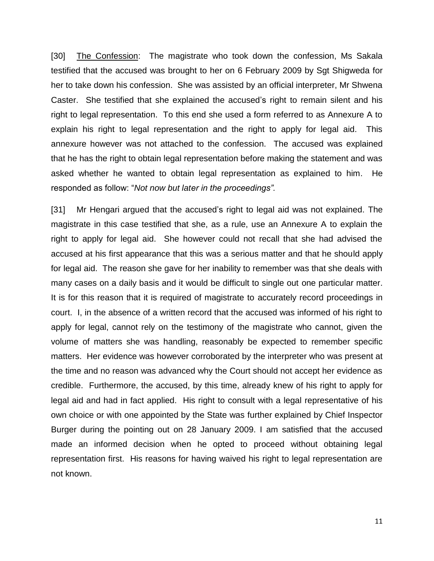[30] The Confession: The magistrate who took down the confession, Ms Sakala testified that the accused was brought to her on 6 February 2009 by Sgt Shigweda for her to take down his confession. She was assisted by an official interpreter, Mr Shwena Caster. She testified that she explained the accused's right to remain silent and his right to legal representation. To this end she used a form referred to as Annexure A to explain his right to legal representation and the right to apply for legal aid. This annexure however was not attached to the confession. The accused was explained that he has the right to obtain legal representation before making the statement and was asked whether he wanted to obtain legal representation as explained to him. He responded as follow: "*Not now but later in the proceedings".* 

[31] Mr Hengari argued that the accused's right to legal aid was not explained. The magistrate in this case testified that she, as a rule, use an Annexure A to explain the right to apply for legal aid. She however could not recall that she had advised the accused at his first appearance that this was a serious matter and that he should apply for legal aid. The reason she gave for her inability to remember was that she deals with many cases on a daily basis and it would be difficult to single out one particular matter. It is for this reason that it is required of magistrate to accurately record proceedings in court. I, in the absence of a written record that the accused was informed of his right to apply for legal, cannot rely on the testimony of the magistrate who cannot, given the volume of matters she was handling, reasonably be expected to remember specific matters. Her evidence was however corroborated by the interpreter who was present at the time and no reason was advanced why the Court should not accept her evidence as credible. Furthermore, the accused, by this time, already knew of his right to apply for legal aid and had in fact applied. His right to consult with a legal representative of his own choice or with one appointed by the State was further explained by Chief Inspector Burger during the pointing out on 28 January 2009. I am satisfied that the accused made an informed decision when he opted to proceed without obtaining legal representation first. His reasons for having waived his right to legal representation are not known.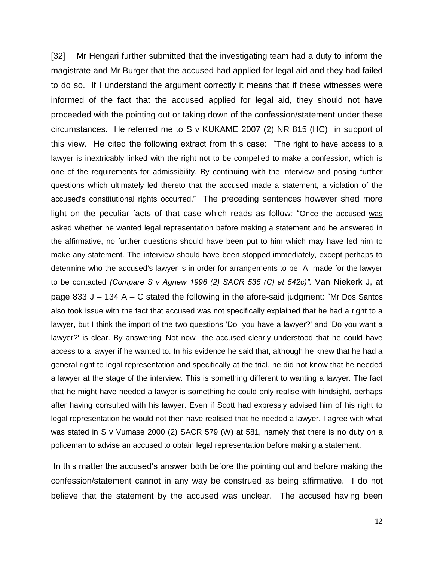[32] Mr Hengari further submitted that the investigating team had a duty to inform the magistrate and Mr Burger that the accused had applied for legal aid and they had failed to do so. If I understand the argument correctly it means that if these witnesses were informed of the fact that the accused applied for legal aid, they should not have proceeded with the pointing out or taking down of the confession/statement under these circumstances. He referred me to S v KUKAME 2007 (2) NR 815 (HC) in support of this view. He cited the following extract from this case: "The right to have access to a lawyer is inextricably linked with the right not to be compelled to make a confession, which is one of the requirements for admissibility. By continuing with the interview and posing further questions which ultimately led thereto that the accused made a statement, a violation of the accused's constitutional rights occurred." The preceding sentences however shed more light on the peculiar facts of that case which reads as follow*:* "Once the accused was asked whether he wanted legal representation before making a statement and he answered in the affirmative, no further questions should have been put to him which may have led him to make any statement. The interview should have been stopped immediately, except perhaps to determine who the accused's lawyer is in order for arrangements to be A made for the lawyer to be contacted *(Compare S v Agnew 1996 (2) SACR 535 (C) at 542c)".* Van Niekerk J, at page 833 J – 134 A – C stated the following in the afore-said judgment: "Mr Dos Santos also took issue with the fact that accused was not specifically explained that he had a right to a lawyer, but I think the import of the two questions 'Do you have a lawyer?' and 'Do you want a lawyer?' is clear. By answering 'Not now', the accused clearly understood that he could have access to a lawyer if he wanted to. In his evidence he said that, although he knew that he had a general right to legal representation and specifically at the trial, he did not know that he needed a lawyer at the stage of the interview. This is something different to wanting a lawyer. The fact that he might have needed a lawyer is something he could only realise with hindsight, perhaps after having consulted with his lawyer. Even if Scott had expressly advised him of his right to legal representation he would not then have realised that he needed a lawyer. I agree with what was stated in S v Vumase 2000 (2) SACR 579 (W) at 581, namely that there is no duty on a policeman to advise an accused to obtain legal representation before making a statement.

In this matter the accused's answer both before the pointing out and before making the confession/statement cannot in any way be construed as being affirmative. I do not believe that the statement by the accused was unclear. The accused having been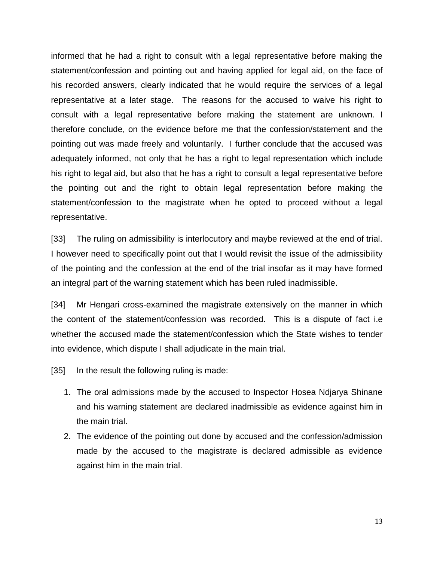informed that he had a right to consult with a legal representative before making the statement/confession and pointing out and having applied for legal aid, on the face of his recorded answers, clearly indicated that he would require the services of a legal representative at a later stage. The reasons for the accused to waive his right to consult with a legal representative before making the statement are unknown. I therefore conclude, on the evidence before me that the confession/statement and the pointing out was made freely and voluntarily. I further conclude that the accused was adequately informed, not only that he has a right to legal representation which include his right to legal aid, but also that he has a right to consult a legal representative before the pointing out and the right to obtain legal representation before making the statement/confession to the magistrate when he opted to proceed without a legal representative.

[33] The ruling on admissibility is interlocutory and maybe reviewed at the end of trial. I however need to specifically point out that I would revisit the issue of the admissibility of the pointing and the confession at the end of the trial insofar as it may have formed an integral part of the warning statement which has been ruled inadmissible.

[34] Mr Hengari cross-examined the magistrate extensively on the manner in which the content of the statement/confession was recorded. This is a dispute of fact i.e whether the accused made the statement/confession which the State wishes to tender into evidence, which dispute I shall adjudicate in the main trial.

[35] In the result the following ruling is made:

- 1. The oral admissions made by the accused to Inspector Hosea Ndjarya Shinane and his warning statement are declared inadmissible as evidence against him in the main trial.
- 2. The evidence of the pointing out done by accused and the confession/admission made by the accused to the magistrate is declared admissible as evidence against him in the main trial.